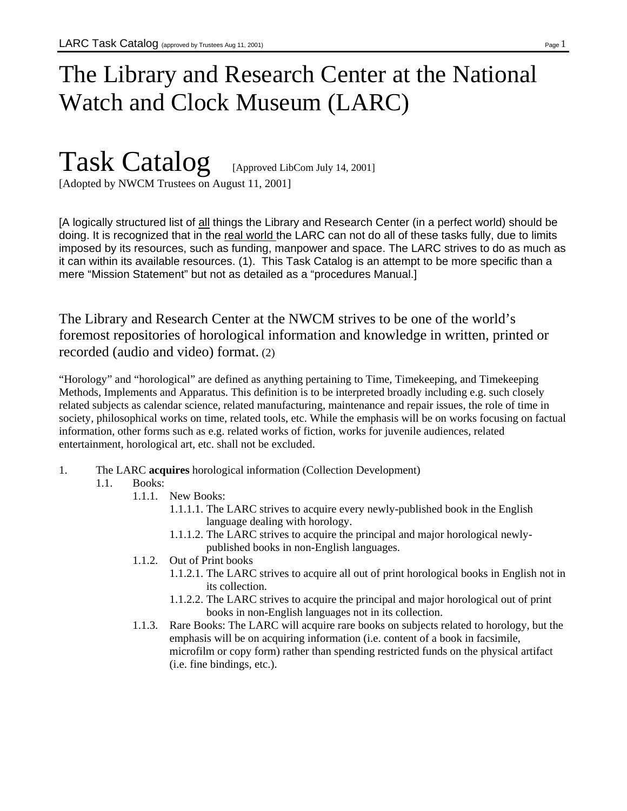# The Library and Research Center at the National Watch and Clock Museum (LARC)

# Task Catalog [Approved LibCom July 14, 2001] [Adopted by NWCM Trustees on August 11, 2001]

[A logically structured list of all things the Library and Research Center (in a perfect world) should be doing. It is recognized that in the real world the LARC can not do all of these tasks fully, due to limits imposed by its resources, such as funding, manpower and space. The LARC strives to do as much as it can within its available resources. (1). This Task Catalog is an attempt to be more specific than a mere "Mission Statement" but not as detailed as a "procedures Manual.]

The Library and Research Center at the NWCM strives to be one of the world's foremost repositories of horological information and knowledge in written, printed or recorded (audio and video) format. (2)

"Horology" and "horological" are defined as anything pertaining to Time, Timekeeping, and Timekeeping Methods, Implements and Apparatus. This definition is to be interpreted broadly including e.g. such closely related subjects as calendar science, related manufacturing, maintenance and repair issues, the role of time in society, philosophical works on time, related tools, etc. While the emphasis will be on works focusing on factual information, other forms such as e.g. related works of fiction, works for juvenile audiences, related entertainment, horological art, etc. shall not be excluded.

1. The LARC **acquires** horological information (Collection Development)

# 1.1. Books:

- 1.1.1. New Books:
	- 1.1.1.1. The LARC strives to acquire every newly-published book in the English language dealing with horology.
	- 1.1.1.2. The LARC strives to acquire the principal and major horological newlypublished books in non-English languages.
- 1.1.2. Out of Print books
	- 1.1.2.1. The LARC strives to acquire all out of print horological books in English not in its collection.
	- 1.1.2.2. The LARC strives to acquire the principal and major horological out of print books in non-English languages not in its collection.
- 1.1.3. Rare Books: The LARC will acquire rare books on subjects related to horology, but the emphasis will be on acquiring information (i.e. content of a book in facsimile, microfilm or copy form) rather than spending restricted funds on the physical artifact (i.e. fine bindings, etc.).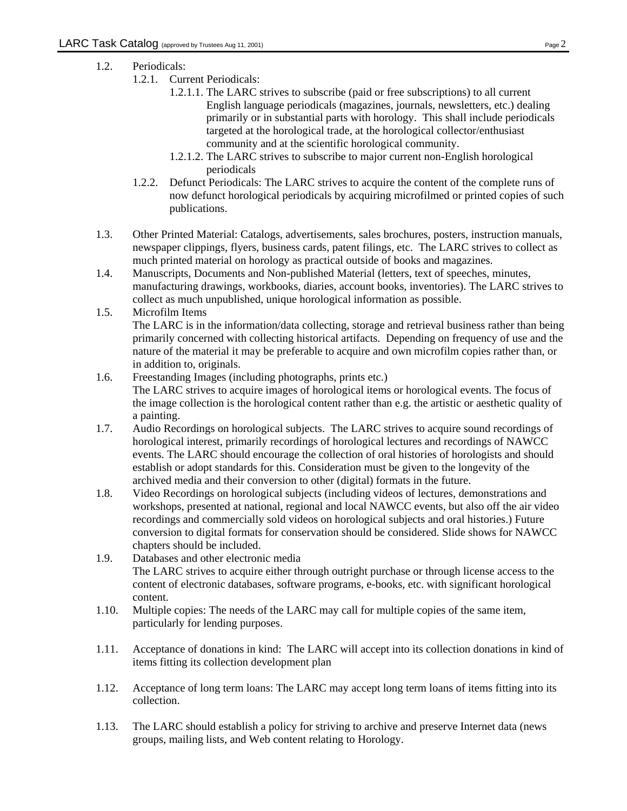- 1.2. Periodicals:
	- 1.2.1. Current Periodicals:
		- 1.2.1.1. The LARC strives to subscribe (paid or free subscriptions) to all current English language periodicals (magazines, journals, newsletters, etc.) dealing primarily or in substantial parts with horology. This shall include periodicals targeted at the horological trade, at the horological collector/enthusiast community and at the scientific horological community.
		- 1.2.1.2. The LARC strives to subscribe to major current non-English horological periodicals
	- 1.2.2. Defunct Periodicals: The LARC strives to acquire the content of the complete runs of now defunct horological periodicals by acquiring microfilmed or printed copies of such publications.
- 1.3. Other Printed Material: Catalogs, advertisements, sales brochures, posters, instruction manuals, newspaper clippings, flyers, business cards, patent filings, etc. The LARC strives to collect as much printed material on horology as practical outside of books and magazines.
- 1.4. Manuscripts, Documents and Non-published Material (letters, text of speeches, minutes, manufacturing drawings, workbooks, diaries, account books, inventories). The LARC strives to collect as much unpublished, unique horological information as possible.
- 1.5. Microfilm Items The LARC is in the information/data collecting, storage and retrieval business rather than being primarily concerned with collecting historical artifacts. Depending on frequency of use and the nature of the material it may be preferable to acquire and own microfilm copies rather than, or in addition to, originals.
- 1.6. Freestanding Images (including photographs, prints etc.) The LARC strives to acquire images of horological items or horological events. The focus of the image collection is the horological content rather than e.g. the artistic or aesthetic quality of a painting.
- 1.7. Audio Recordings on horological subjects. The LARC strives to acquire sound recordings of horological interest, primarily recordings of horological lectures and recordings of NAWCC events. The LARC should encourage the collection of oral histories of horologists and should establish or adopt standards for this. Consideration must be given to the longevity of the archived media and their conversion to other (digital) formats in the future.
- 1.8. Video Recordings on horological subjects (including videos of lectures, demonstrations and workshops, presented at national, regional and local NAWCC events, but also off the air video recordings and commercially sold videos on horological subjects and oral histories.) Future conversion to digital formats for conservation should be considered. Slide shows for NAWCC chapters should be included.
- 1.9. Databases and other electronic media The LARC strives to acquire either through outright purchase or through license access to the content of electronic databases, software programs, e-books, etc. with significant horological content.
- 1.10. Multiple copies: The needs of the LARC may call for multiple copies of the same item, particularly for lending purposes.
- 1.11. Acceptance of donations in kind: The LARC will accept into its collection donations in kind of items fitting its collection development plan
- 1.12. Acceptance of long term loans: The LARC may accept long term loans of items fitting into its collection.
- 1.13. The LARC should establish a policy for striving to archive and preserve Internet data (news groups, mailing lists, and Web content relating to Horology.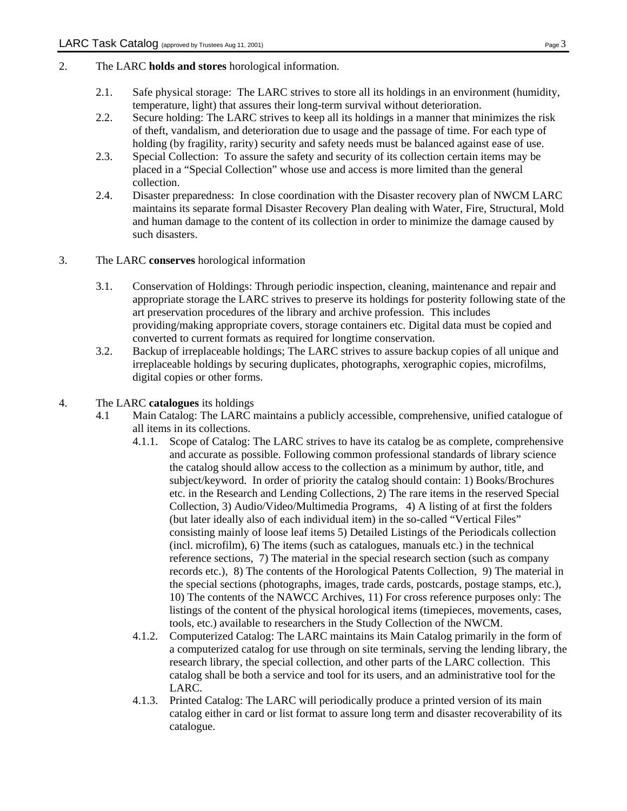- 2. The LARC **holds and stores** horological information.
	- 2.1. Safe physical storage: The LARC strives to store all its holdings in an environment (humidity, temperature, light) that assures their long-term survival without deterioration.
	- 2.2. Secure holding: The LARC strives to keep all its holdings in a manner that minimizes the risk of theft, vandalism, and deterioration due to usage and the passage of time. For each type of holding (by fragility, rarity) security and safety needs must be balanced against ease of use.
	- 2.3. Special Collection: To assure the safety and security of its collection certain items may be placed in a "Special Collection" whose use and access is more limited than the general collection.
	- 2.4. Disaster preparedness: In close coordination with the Disaster recovery plan of NWCM LARC maintains its separate formal Disaster Recovery Plan dealing with Water, Fire, Structural, Mold and human damage to the content of its collection in order to minimize the damage caused by such disasters.

#### 3. The LARC **conserves** horological information

- 3.1. Conservation of Holdings: Through periodic inspection, cleaning, maintenance and repair and appropriate storage the LARC strives to preserve its holdings for posterity following state of the art preservation procedures of the library and archive profession. This includes providing/making appropriate covers, storage containers etc. Digital data must be copied and converted to current formats as required for longtime conservation.
- 3.2. Backup of irreplaceable holdings; The LARC strives to assure backup copies of all unique and irreplaceable holdings by securing duplicates, photographs, xerographic copies, microfilms, digital copies or other forms.

#### 4. The LARC **catalogues** its holdings

- 4.1 Main Catalog: The LARC maintains a publicly accessible, comprehensive, unified catalogue of all items in its collections.
	- 4.1.1. Scope of Catalog: The LARC strives to have its catalog be as complete, comprehensive and accurate as possible. Following common professional standards of library science the catalog should allow access to the collection as a minimum by author, title, and subject/keyword. In order of priority the catalog should contain: 1) Books/Brochures etc. in the Research and Lending Collections, 2) The rare items in the reserved Special Collection, 3) Audio/Video/Multimedia Programs, 4) A listing of at first the folders (but later ideally also of each individual item) in the so-called "Vertical Files" consisting mainly of loose leaf items 5) Detailed Listings of the Periodicals collection (incl. microfilm), 6) The items (such as catalogues, manuals etc.) in the technical reference sections, 7) The material in the special research section (such as company records etc.), 8) The contents of the Horological Patents Collection, 9) The material in the special sections (photographs, images, trade cards, postcards, postage stamps, etc.), 10) The contents of the NAWCC Archives, 11) For cross reference purposes only: The listings of the content of the physical horological items (timepieces, movements, cases, tools, etc.) available to researchers in the Study Collection of the NWCM.
	- 4.1.2. Computerized Catalog: The LARC maintains its Main Catalog primarily in the form of a computerized catalog for use through on site terminals, serving the lending library, the research library, the special collection, and other parts of the LARC collection. This catalog shall be both a service and tool for its users, and an administrative tool for the LARC.
	- 4.1.3. Printed Catalog: The LARC will periodically produce a printed version of its main catalog either in card or list format to assure long term and disaster recoverability of its catalogue.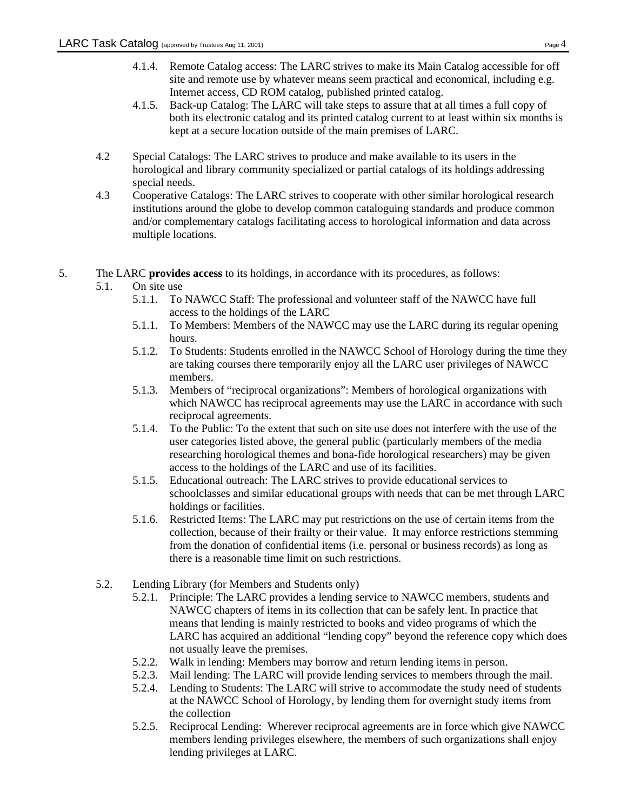- 4.1.4. Remote Catalog access: The LARC strives to make its Main Catalog accessible for off site and remote use by whatever means seem practical and economical, including e.g. Internet access, CD ROM catalog, published printed catalog.
- 4.1.5. Back-up Catalog: The LARC will take steps to assure that at all times a full copy of both its electronic catalog and its printed catalog current to at least within six months is kept at a secure location outside of the main premises of LARC.
- 4.2 Special Catalogs: The LARC strives to produce and make available to its users in the horological and library community specialized or partial catalogs of its holdings addressing special needs.
- 4.3 Cooperative Catalogs: The LARC strives to cooperate with other similar horological research institutions around the globe to develop common cataloguing standards and produce common and/or complementary catalogs facilitating access to horological information and data across multiple locations.
- 5. The LARC **provides access** to its holdings, in accordance with its procedures, as follows:
	- 5.1. On site use
		- 5.1.1. To NAWCC Staff: The professional and volunteer staff of the NAWCC have full access to the holdings of the LARC
		- 5.1.1. To Members: Members of the NAWCC may use the LARC during its regular opening hours.
		- 5.1.2. To Students: Students enrolled in the NAWCC School of Horology during the time they are taking courses there temporarily enjoy all the LARC user privileges of NAWCC members.
		- 5.1.3. Members of "reciprocal organizations": Members of horological organizations with which NAWCC has reciprocal agreements may use the LARC in accordance with such reciprocal agreements.
		- 5.1.4. To the Public: To the extent that such on site use does not interfere with the use of the user categories listed above, the general public (particularly members of the media researching horological themes and bona-fide horological researchers) may be given access to the holdings of the LARC and use of its facilities.
		- 5.1.5. Educational outreach: The LARC strives to provide educational services to schoolclasses and similar educational groups with needs that can be met through LARC holdings or facilities.
		- 5.1.6. Restricted Items: The LARC may put restrictions on the use of certain items from the collection, because of their frailty or their value. It may enforce restrictions stemming from the donation of confidential items (i.e. personal or business records) as long as there is a reasonable time limit on such restrictions.
	- 5.2. Lending Library (for Members and Students only)
		- 5.2.1. Principle: The LARC provides a lending service to NAWCC members, students and NAWCC chapters of items in its collection that can be safely lent. In practice that means that lending is mainly restricted to books and video programs of which the LARC has acquired an additional "lending copy" beyond the reference copy which does not usually leave the premises.
		- 5.2.2. Walk in lending: Members may borrow and return lending items in person.
		- 5.2.3. Mail lending: The LARC will provide lending services to members through the mail.
		- 5.2.4. Lending to Students: The LARC will strive to accommodate the study need of students at the NAWCC School of Horology, by lending them for overnight study items from the collection
		- 5.2.5. Reciprocal Lending: Wherever reciprocal agreements are in force which give NAWCC members lending privileges elsewhere, the members of such organizations shall enjoy lending privileges at LARC.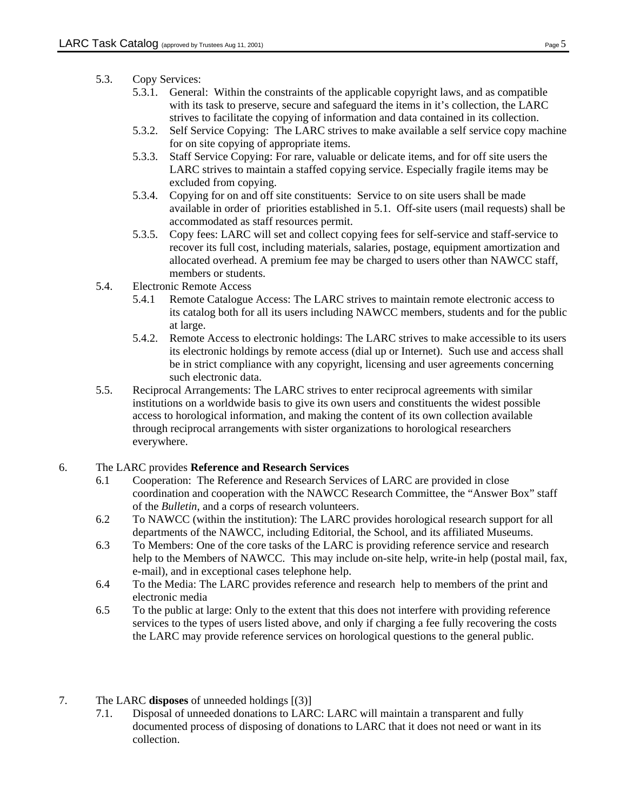## 5.3. Copy Services:

- 5.3.1. General: Within the constraints of the applicable copyright laws, and as compatible with its task to preserve, secure and safeguard the items in it's collection, the LARC strives to facilitate the copying of information and data contained in its collection.
- 5.3.2. Self Service Copying: The LARC strives to make available a self service copy machine for on site copying of appropriate items.
- 5.3.3. Staff Service Copying: For rare, valuable or delicate items, and for off site users the LARC strives to maintain a staffed copying service. Especially fragile items may be excluded from copying.
- 5.3.4. Copying for on and off site constituents: Service to on site users shall be made available in order of priorities established in 5.1. Off-site users (mail requests) shall be accommodated as staff resources permit.
- 5.3.5. Copy fees: LARC will set and collect copying fees for self-service and staff-service to recover its full cost, including materials, salaries, postage, equipment amortization and allocated overhead. A premium fee may be charged to users other than NAWCC staff, members or students.
- 5.4. Electronic Remote Access
	- 5.4.1 Remote Catalogue Access: The LARC strives to maintain remote electronic access to its catalog both for all its users including NAWCC members, students and for the public at large.
	- 5.4.2. Remote Access to electronic holdings: The LARC strives to make accessible to its users its electronic holdings by remote access (dial up or Internet). Such use and access shall be in strict compliance with any copyright, licensing and user agreements concerning such electronic data.
- 5.5. Reciprocal Arrangements: The LARC strives to enter reciprocal agreements with similar institutions on a worldwide basis to give its own users and constituents the widest possible access to horological information, and making the content of its own collection available through reciprocal arrangements with sister organizations to horological researchers everywhere.

#### 6. The LARC provides **Reference and Research Services**

- 6.1 Cooperation: The Reference and Research Services of LARC are provided in close coordination and cooperation with the NAWCC Research Committee, the "Answer Box" staff of the *Bulletin*, and a corps of research volunteers.
- 6.2 To NAWCC (within the institution): The LARC provides horological research support for all departments of the NAWCC, including Editorial, the School, and its affiliated Museums.
- 6.3 To Members: One of the core tasks of the LARC is providing reference service and research help to the Members of NAWCC. This may include on-site help, write-in help (postal mail, fax, e-mail), and in exceptional cases telephone help.
- 6.4 To the Media: The LARC provides reference and research help to members of the print and electronic media
- 6.5 To the public at large: Only to the extent that this does not interfere with providing reference services to the types of users listed above, and only if charging a fee fully recovering the costs the LARC may provide reference services on horological questions to the general public.
- 7. The LARC **disposes** of unneeded holdings [(3)]
	- 7.1. Disposal of unneeded donations to LARC: LARC will maintain a transparent and fully documented process of disposing of donations to LARC that it does not need or want in its collection.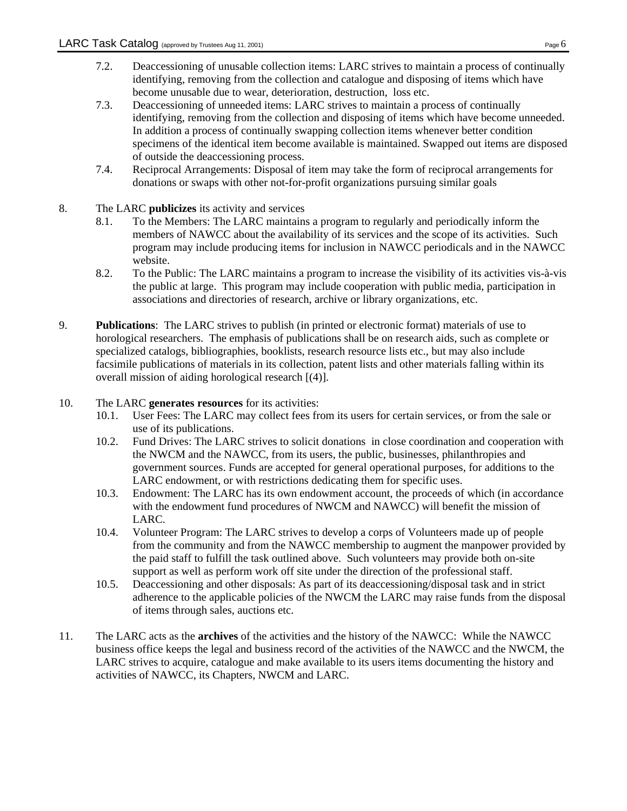- 7.2. Deaccessioning of unusable collection items: LARC strives to maintain a process of continually identifying, removing from the collection and catalogue and disposing of items which have become unusable due to wear, deterioration, destruction, loss etc.
- 7.3. Deaccessioning of unneeded items: LARC strives to maintain a process of continually identifying, removing from the collection and disposing of items which have become unneeded. In addition a process of continually swapping collection items whenever better condition specimens of the identical item become available is maintained. Swapped out items are disposed of outside the deaccessioning process.
- 7.4. Reciprocal Arrangements: Disposal of item may take the form of reciprocal arrangements for donations or swaps with other not-for-profit organizations pursuing similar goals
- 8. The LARC **publicizes** its activity and services
	- 8.1. To the Members: The LARC maintains a program to regularly and periodically inform the members of NAWCC about the availability of its services and the scope of its activities. Such program may include producing items for inclusion in NAWCC periodicals and in the NAWCC website.
	- 8.2. To the Public: The LARC maintains a program to increase the visibility of its activities vis-à-vis the public at large. This program may include cooperation with public media, participation in associations and directories of research, archive or library organizations, etc.
- 9. **Publications**: The LARC strives to publish (in printed or electronic format) materials of use to horological researchers. The emphasis of publications shall be on research aids, such as complete or specialized catalogs, bibliographies, booklists, research resource lists etc., but may also include facsimile publications of materials in its collection, patent lists and other materials falling within its overall mission of aiding horological research [(4)].
- 10. The LARC **generates resources** for its activities:
	- 10.1. User Fees: The LARC may collect fees from its users for certain services, or from the sale or use of its publications.
	- 10.2. Fund Drives: The LARC strives to solicit donations in close coordination and cooperation with the NWCM and the NAWCC, from its users, the public, businesses, philanthropies and government sources. Funds are accepted for general operational purposes, for additions to the LARC endowment, or with restrictions dedicating them for specific uses.
	- 10.3. Endowment: The LARC has its own endowment account, the proceeds of which (in accordance with the endowment fund procedures of NWCM and NAWCC) will benefit the mission of LARC.
	- 10.4. Volunteer Program: The LARC strives to develop a corps of Volunteers made up of people from the community and from the NAWCC membership to augment the manpower provided by the paid staff to fulfill the task outlined above. Such volunteers may provide both on-site support as well as perform work off site under the direction of the professional staff.
	- 10.5. Deaccessioning and other disposals: As part of its deaccessioning/disposal task and in strict adherence to the applicable policies of the NWCM the LARC may raise funds from the disposal of items through sales, auctions etc.
- 11. The LARC acts as the **archives** of the activities and the history of the NAWCC: While the NAWCC business office keeps the legal and business record of the activities of the NAWCC and the NWCM, the LARC strives to acquire, catalogue and make available to its users items documenting the history and activities of NAWCC, its Chapters, NWCM and LARC.